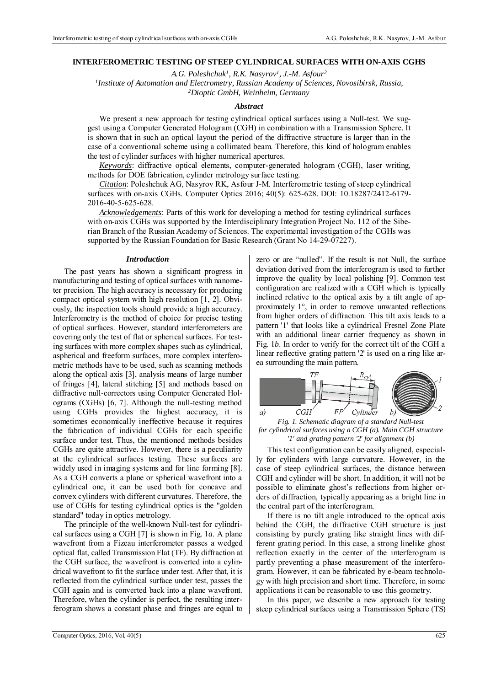# **INTERFEROMETRIC TESTING OF STEEP CYLINDRICAL SURFACES WITH ON-AXIS CGHS**

*A.G. Poleshchuk1, R.K. Nasyrov1, J.-M. Asfour2 1Institute of Automation and Electrometry, Russian Academy of Sciences, Novosibirsk, Russia, 2Dioptic GmbH, Weinheim, Germany* 

#### *Abstract*

We present a new approach for testing cylindrical optical surfaces using a Null-test. We suggest using a Computer Generated Hologram (CGH) in combination with a Transmission Sphere. It is shown that in such an optical layout the period of the diffractive structure is larger than in the case of a conventional scheme using a collimated beam. Therefore, this kind of hologram enables the test of cylinder surfaces with higher numerical apertures.

*Keywords*: diffractive optical elements, computer-generated hologram (CGH), laser writing, methods for DOE fabrication, cylinder metrology surface testing.

*Citation*: Poleshchuk AG, Nasyrov RK, Asfour J-M. Interferometric testing of steep cylindrical surfaces with on-axis CGHs. Computer Optics 2016; 40(5): 625-628. DOI: 10.18287/2412-6179- 2016-40-5-625-628.

*Acknowledgements*: Parts of this work for developing a method for testing cylindrical surfaces with on-axis CGHs was supported by the Interdisciplinary Integration Project No. 112 of the Siberian Branch of the Russian Academy of Sciences. The experimental investigation of the CGHs was supported by the Russian Foundation for Basic Research (Grant No 14-29-07227).

#### *Introduction*

The past years has shown a significant progress in manufacturing and testing of optical surfaces with nanometer precision. The high accuracy is necessary for producing compact optical system with high resolution [1, 2]. Obviously, the inspection tools should provide a high accuracy. Interferometry is the method of choice for precise testing of optical surfaces. However, standard interferometers are covering only the test of flat or spherical surfaces. For testing surfaces with more complex shapes such as cylindrical, aspherical and freeform surfaces, more complex interferometric methods have to be used, such as scanning methods along the optical axis [3], analysis means of large number of fringes [4], lateral stitching [5] and methods based on diffractive null-correctors using Computer Generated Holograms (CGHs) [6, 7]. Although the null-testing method using CGHs provides the highest accuracy, it is sometimes economically ineffective because it requires the fabrication of individual CGHs for each specific surface under test. Thus, the mentioned methods besides CGHs are quite attractive. However, there is a peculiarity at the cylindrical surfaces testing. These surfaces are widely used in imaging systems and for line forming [8]. As a CGH converts a plane or spherical wavefront into a cylindrical one, it can be used both for concave and convex cylinders with different curvatures. Therefore, the use of CGHs for testing cylindrical optics is the "golden standard" today in optics metrology.

The principle of the well-known Null-test for cylindrical surfaces using a CGH [7] is shown in Fig. 1*a*. A plane wavefront from a Fizeau interferometer passes a wedged optical flat, called Transmission Flat (TF). By diffraction at the CGH surface, the wavefront is converted into a cylindrical wavefront to fit the surface under test. After that, it is reflected from the cylindrical surface under test, passes the CGH again and is converted back into a plane wavefront. Therefore, when the cylinder is perfect, the resulting interferogram shows a constant phase and fringes are equal to zero or are "nulled". If the result is not Null, the surface deviation derived from the interferogram is used to further improve the quality by local polishing [9]. Common test configuration are realized with a CGH which is typically inclined relative to the optical axis by a tilt angle of approximately 1°, in order to remove unwanted reflections from higher orders of diffraction. This tilt axis leads to a pattern '1' that looks like a cylindrical Fresnel Zone Plate with an additional linear carrier frequency as shown in Fig. 1*b*. In order to verify for the correct tilt of the CGH a linear reflective grating pattern '2' is used on a ring like area surrounding the main pattern.



 *Fig. 1. Schematic diagram of a standard Null-test for cylindrical surfaces using a CGH (a). Main CGH structure '1' and grating pattern '2' for alignment (b)* 

This test configuration can be easily aligned, especially for cylinders with large curvature. However, in the case of steep cylindrical surfaces, the distance between CGH and cylinder will be short. In addition, it will not be possible to eliminate ghost's reflections from higher orders of diffraction, typically appearing as a bright line in the central part of the interferogram.

If there is no tilt angle introduced to the optical axis behind the CGH, the diffractive CGH structure is just consisting by purely grating like straight lines with different grating period. In this case, a strong linelike ghost reflection exactly in the center of the interferogram is partly preventing a phase measurement of the interferogram. However, it can be fabricated by e-beam technology with high precision and short time. Therefore, in some applications it can be reasonable to use this geometry.

In this paper, we describe a new approach for testing steep cylindrical surfaces using a Transmission Sphere (TS)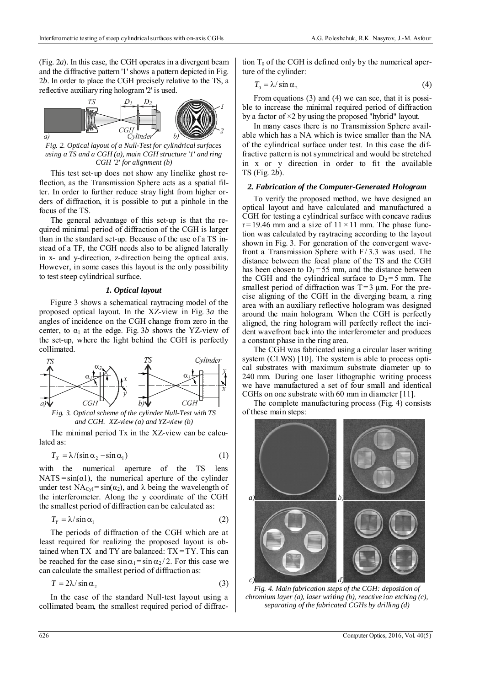(Fig. 2*a*). In this case, the CGH operates in a divergent beam and the diffractive pattern '1' shows a pattern depicted in Fig. 2*b*. In order to place the CGH precisely relative to the TS, a reflective auxiliary ring hologram '2' is used.



*a*)  $\overline{a}$  *Cylinder b*)  $\overline{f}$  *Fig. 2. Optical layout of a Null-Test for cylindrical surfaces using a TS and a CGH (a), main CGH structure '1' and ring CGH '2' for alignment (b)* 

This test set-up does not show any linelike ghost reflection, as the Transmission Sphere acts as a spatial filter. In order to further reduce stray light from higher orders of diffraction, it is possible to put a pinhole in the focus of the TS.

The general advantage of this set-up is that the required minimal period of diffraction of the CGH is larger than in the standard set-up. Because of the use of a TS instead of a TF, the CGH needs also to be aligned laterally in x- and y-direction, z-direction being the optical axis. However, in some cases this layout is the only possibility to test steep cylindrical surface.

#### *1. Optical layout*

Figure 3 shows a schematical raytracing model of the proposed optical layout. In the XZ-view in Fig. 3*a* the angles of incidence on the CGH change from zero in the center, to  $\alpha_1$  at the edge. Fig. 3*b* shows the YZ-view of the set-up, where the light behind the CGH is perfectly collimated.



*and CGH. XZ-view (a) and YZ-view (b)* 

The minimal period Tx in the XZ-view can be calculated as:

$$
T_x = \lambda / (\sin \alpha_2 - \sin \alpha_1) \tag{1}
$$

with the numerical aperture of the TS lens  $NATS = sin(\alpha 1)$ , the numerical aperture of the cylinder under test  $NA_{\text{Cyl}} = \sin(\alpha_2)$ , and  $\lambda$  being the wavelength of the interferometer. Along the y coordinate of the CGH the smallest period of diffraction can be calculated as:

$$
T_{Y} = \lambda / \sin \alpha_{1}
$$
 (2)

The periods of diffraction of the CGH which are at least required for realizing the proposed layout is obtained when  $TX$  and  $TY$  are balanced:  $TX = TY$ . This can be reached for the case  $\sin \alpha_1 = \sin \alpha_2 / 2$ . For this case we can calculate the smallest period of diffraction as:

$$
T = 2\lambda / \sin \alpha_2 \tag{3}
$$

In the case of the standard Null-test layout using a collimated beam, the smallest required period of diffraction  $T_0$  of the CGH is defined only by the numerical aperture of the cylinder:

$$
T_0 = \lambda / \sin \alpha_2 \tag{4}
$$

From equations (3) and (4) we can see, that it is possible to increase the minimal required period of diffraction by a factor of ×2 by using the proposed "hybrid" layout.

In many cases there is no Transmission Sphere available which has a NA which is twice smaller than the NA of the cylindrical surface under test. In this case the diffractive pattern is not symmetrical and would be stretched in x or y direction in order to fit the available TS (Fig. 2*b*).

## *2. Fabrication of the Computer-Generated Hologram*

To verify the proposed method, we have designed an optical layout and have calculated and manufactured a CGH for testing a cylindrical surface with concave radius  $r = 19.46$  mm and a size of  $11 \times 11$  mm. The phase function was calculated by raytracing according to the layout shown in Fig. 3. For generation of the convergent wavefront a Transmission Sphere with  $F/3.3$  was used. The distance between the focal plane of the TS and the CGH has been chosen to  $D_1 = 55$  mm, and the distance between the CGH and the cylindrical surface to  $D_2 = 5$  mm. The smallest period of diffraction was  $T=3 \mu m$ . For the precise aligning of the CGH in the diverging beam, a ring area with an auxiliary reflective hologram was designed around the main hologram. When the CGH is perfectly aligned, the ring hologram will perfectly reflect the incident wavefront back into the interferometer and produces a constant phase in the ring area.

The CGH was fabricated using a circular laser writing system (CLWS) [10]. The system is able to process optical substrates with maximum substrate diameter up to 240 mm. During one laser lithographic writing process we have manufactured a set of four small and identical CGHs on one substrate with 60 mm in diameter [11].

The complete manufacturing process (Fig. 4) consists of these main steps:



*Fig. 4. Main fabrication steps of the CGH: deposition of chromium layer (a), laser writing (b), reactive ion etching (c), separating of the fabricated CGHs by drilling (d)*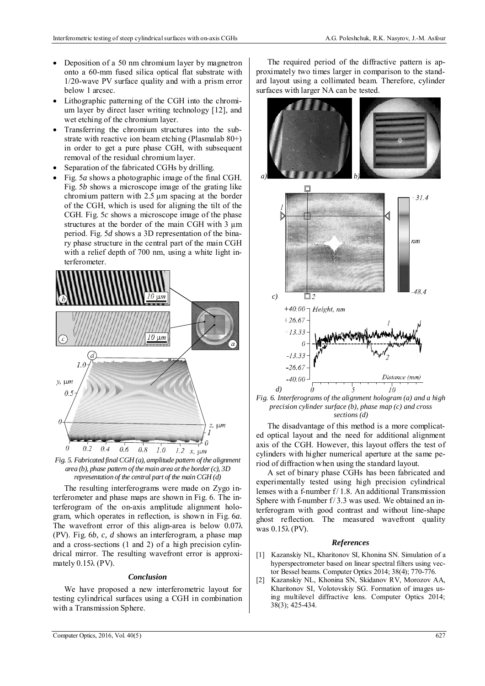- Deposition of a 50 nm chromium layer by magnetron onto a 60-mm fused silica optical flat substrate with 1/20-wave PV surface quality and with a prism error below 1 arcsec.
- Lithographic patterning of the CGH into the chromium layer by direct laser writing technology [12], and wet etching of the chromium layer.
- Transferring the chromium structures into the substrate with reactive ion beam etching (Plasmalab 80+) in order to get a pure phase CGH, with subsequent removal of the residual chromium layer.
- Separation of the fabricated CGHs by drilling.
- Fig. 5*a* shows a photographic image of the final CGH. Fig. 5*b* shows a microscope image of the grating like chromium pattern with 2.5 μm spacing at the border of the CGH, which is used for aligning the tilt of the CGH. Fig. 5*c* shows a microscope image of the phase structures at the border of the main CGH with 3  $\mu$ m period. Fig. 5*d* shows a 3D representation of the binary phase structure in the central part of the main CGH with a relief depth of 700 nm, using a white light interferometer.



*Fig. 5. Fabricated final CGH (a), amplitude pattern of the alignment area (b), phase pattern of the main area at the border (c), 3D representation of the central part of the main CGH (d)* 

The resulting interferograms were made on Zygo interferometer and phase maps are shown in Fig. 6. The interferogram of the on-axis amplitude alignment hologram, which operates in reflection, is shown in Fig. 6*a*. The wavefront error of this align-area is below 0.07λ (PV). Fig. 6*b, c, d* shows an interferogram, a phase map and a cross-sections (1 and 2) of a high precision cylindrical mirror. The resulting wavefront error is approximately  $0.15\lambda$  (PV).

# *Conclusion*

We have proposed a new interferometric layout for testing cylindrical surfaces using a CGH in combination with a Transmission Sphere.

The required period of the diffractive pattern is approximately two times larger in comparison to the standard layout using a collimated beam. Therefore, cylinder surfaces with larger NA can be tested.



*Fig. 6. Interferograms of the alignment hologram (a) and a high precision cylinder surface (b), phase map (c) and cross sections (d)* 

The disadvantage of this method is a more complicated optical layout and the need for additional alignment axis of the CGH. However, this layout offers the test of cylinders with higher numerical aperture at the same period of diffraction when using the standard layout.

A set of binary phase CGHs has been fabricated and experimentally tested using high precision cylindrical lenses with a f-number f/ 1.8. An additional Transmission Sphere with f-number f/3.3 was used. We obtained an interferogram with good contrast and without line-shape ghost reflection. The measured wavefront quality was 0.15λ (PV).

## *References*

- [1] Kazanskiy NL, Kharitonov SI, Khonina SN. Simulation of a hyperspectrometer based on linear spectral filters using vector Bessel beams. Computer Optics 2014; 38(4); 770-776.
- Kazanskiy NL, Khonina SN, Skidanov RV, Morozov AA, Kharitonov SI, Volotovskiy SG. Formation of images using multilevel diffractive lens. Computer Optics 2014; 38(3); 425-434.